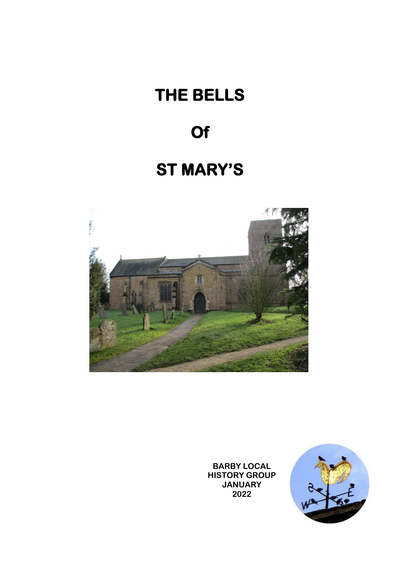# **THE BELLS**

## **Of**

### **ST MARY'S**



**BARBY LOCAL HISTORY GROUP JANUARY 2022**

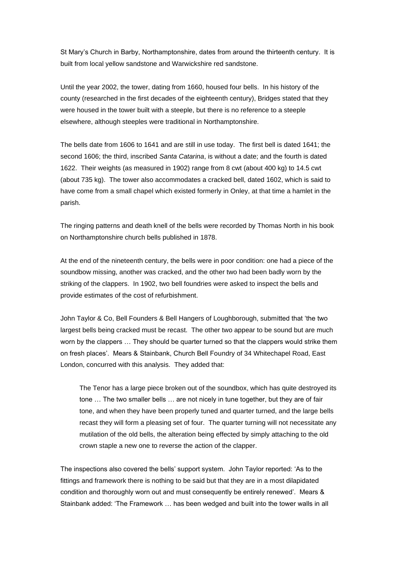St Mary's Church in Barby, Northamptonshire, dates from around the thirteenth century. It is built from local yellow sandstone and Warwickshire red sandstone.

Until the year 2002, the tower, dating from 1660, housed four bells. In his history of the county (researched in the first decades of the eighteenth century), Bridges stated that they were housed in the tower built with a steeple, but there is no reference to a steeple elsewhere, although steeples were traditional in Northamptonshire.

The bells date from 1606 to 1641 and are still in use today. The first bell is dated 1641; the second 1606; the third, inscribed *Santa Catarina*, is without a date; and the fourth is dated 1622. Their weights (as measured in 1902) range from 8 cwt (about 400 kg) to 14.5 cwt (about 735 kg). The tower also accommodates a cracked bell, dated 1602, which is said to have come from a small chapel which existed formerly in Onley, at that time a hamlet in the parish.

The ringing patterns and death knell of the bells were recorded by Thomas North in his book on Northamptonshire church bells published in 1878.

At the end of the nineteenth century, the bells were in poor condition: one had a piece of the soundbow missing, another was cracked, and the other two had been badly worn by the striking of the clappers. In 1902, two bell foundries were asked to inspect the bells and provide estimates of the cost of refurbishment.

John Taylor & Co, Bell Founders & Bell Hangers of Loughborough, submitted that 'the two largest bells being cracked must be recast. The other two appear to be sound but are much worn by the clappers … They should be quarter turned so that the clappers would strike them on fresh places'. Mears & Stainbank, Church Bell Foundry of 34 Whitechapel Road, East London, concurred with this analysis. They added that:

The Tenor has a large piece broken out of the soundbox, which has quite destroyed its tone … The two smaller bells … are not nicely in tune together, but they are of fair tone, and when they have been properly tuned and quarter turned, and the large bells recast they will form a pleasing set of four. The quarter turning will not necessitate any mutilation of the old bells, the alteration being effected by simply attaching to the old crown staple a new one to reverse the action of the clapper.

The inspections also covered the bells' support system. John Taylor reported: 'As to the fittings and framework there is nothing to be said but that they are in a most dilapidated condition and thoroughly worn out and must consequently be entirely renewed'. Mears & Stainbank added: 'The Framework … has been wedged and built into the tower walls in all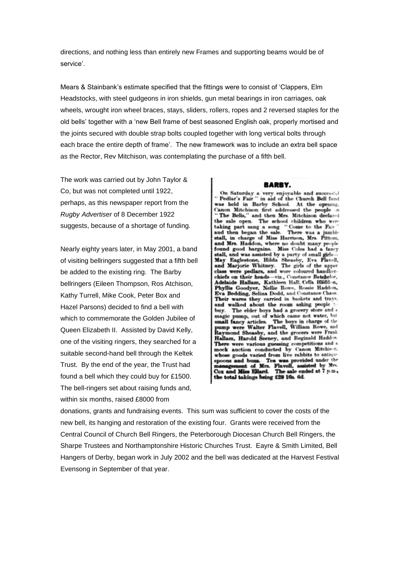directions, and nothing less than entirely new Frames and supporting beams would be of service'.

Mears & Stainbank's estimate specified that the fittings were to consist of 'Clappers, Elm Headstocks, with steel gudgeons in iron shields, gun metal bearings in iron carriages, oak wheels, wrought iron wheel braces, stays, sliders, rollers, ropes and 2 reversed staples for the old bells' together with a 'new Bell frame of best seasoned English oak, properly mortised and the joints secured with double strap bolts coupled together with long vertical bolts through each brace the entire depth of frame'. The new framework was to include an extra bell space as the Rector, Rev Mitchison, was contemplating the purchase of a fifth bell.

The work was carried out by John Taylor & Co, but was not completed until 1922, perhaps, as this newspaper report from the *Rugby Advertiser* of 8 December 1922 suggests, because of a shortage of funding.

Nearly eighty years later, in May 2001, a band of visiting bellringers suggested that a fifth bell be added to the existing ring. The Barby bellringers (Eileen Thompson, Ros Atchison, Kathy Turrell, Mike Cook, Peter Box and Hazel Parsons) decided to find a bell with which to commemorate the Golden Jubilee of Queen Elizabeth II. Assisted by David Kelly, one of the visiting ringers, they searched for a suitable second-hand bell through the Keltek Trust. By the end of the year, the Trust had found a bell which they could buy for £1500. The bell-ringers set about raising funds and, within six months, raised £8000 from

#### **BARBY.**

On Saturday a very enjoyable and successful<br>"Pedlar's Fair" in aid of the Church Bell fund<br>was held in Barby School. At the opening.<br>Canon Mitchison first addressed the people "The Bells," and then Mrs. Mitchison declared<br>the sale open. The school children who were taking part sang a song "Come to the Fair"<br>and then began the sale. There was a jumble<br>stall, in charge of Miss Harrison, Mrs. Pittom,<br>and Mrs. Haddon, where no doubt many people and any previous and a fancy<br>stall, and was assisted by a party of small girls-<br>May Eaglestone, Hilda Sheasby, Eva Flavell,<br>and Marjorie Whitney. The girls of the upper class were pedlars, and wore coloured handker-<br>chiefs on their heads-viz., Constance Batchelor, or. Adelaide Hallam, Kathleen Hall; Celia Haddon, Phyllis Goodyer, Nellie Rowe, Rossie Haddon,<br>Eva Bedding, Selina Dodd, and Constance Chase. Their wares they carried in baskets and trays, and walked about the room asking people The elder boys had a grocery store and a buy. magic pump, out of which came not water, but<br>small fancy articles. The boys in charge of the<br>pump were Walter Flavell, William Rowe, and pump were Walter Flavell, William Rowe, and<br>Raymond Sheasby, and the grocers were Frank<br>Hallam, Harold Seeney, and Reginald Haddon There were various guessing competitions and a mock auction conducted by Canon Mitchison. whose goods varied from live rabbits to antique whose goods varied under the manufacture in management of Mrs. Flavell, assisted by Mrs. Cox and Miss Ellard. The sale ended at 7 p.m., the total takings being £28 16s. 6d.

donations, grants and fundraising events. This sum was sufficient to cover the costs of the new bell, its hanging and restoration of the existing four. Grants were received from the Central Council of Church Bell Ringers, the Peterborough Diocesan Church Bell Ringers, the Sharpe Trustees and Northamptonshire Historic Churches Trust. Eayre & Smith Limited, Bell Hangers of Derby, began work in July 2002 and the bell was dedicated at the Harvest Festival Evensong in September of that year.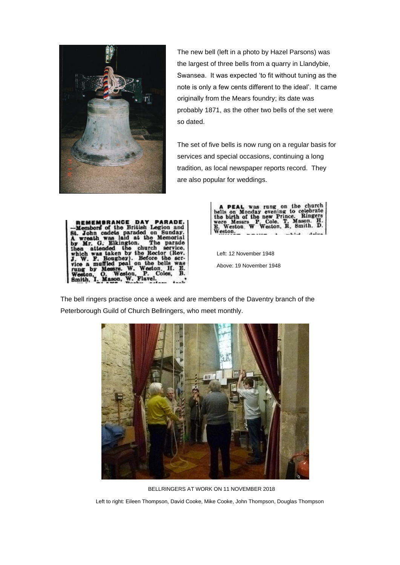

The new bell (left in a photo by Hazel Parsons) was the largest of three bells from a quarry in Llandybie, Swansea. It was expected 'to fit without tuning as the note is only a few cents different to the ideal'. It came originally from the Mears foundry; its date was probably 1871, as the other two bells of the set were so dated.

The set of five bells is now rung on a regular basis for services and special occasions, continuing a long tradition, as local newspaper reports record. They are also popular for weddings.





Left: 12 November 1948 Above: 19 November 1948

The bell ringers practise once a week and are members of the Daventry branch of the Peterborough Guild of Church Bellringers, who meet monthly.



BELLRINGERS AT WORK ON 11 NOVEMBER 2018

Left to right: Eileen Thompson, David Cooke, Mike Cooke, John Thompson, Douglas Thompson